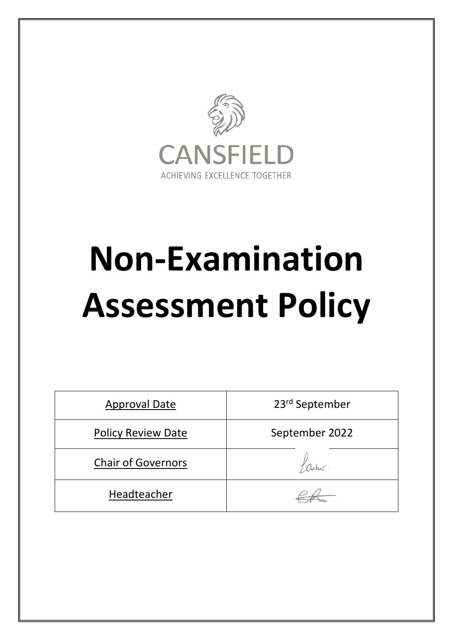

# **Non-Examination Assessment Policy**

| <b>Approval Date</b>      | 23 <sup>rd</sup> September |
|---------------------------|----------------------------|
| <b>Policy Review Date</b> | September 2022             |
| <b>Chair of Governors</b> |                            |
| Headteacher               |                            |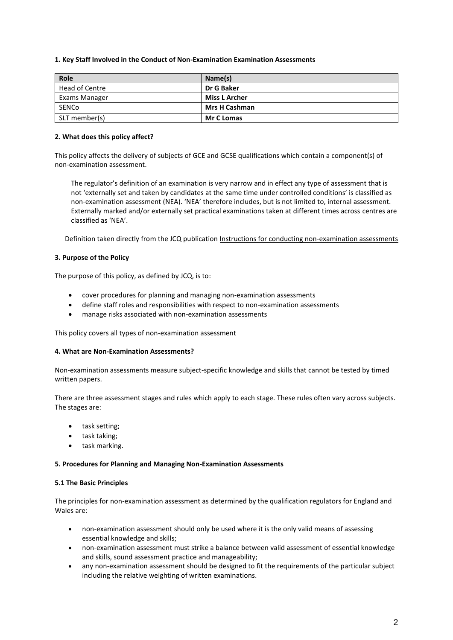#### **1. Key Staff Involved in the Conduct of Non-Examination Examination Assessments**

| Role           | Name(s)              |
|----------------|----------------------|
| Head of Centre | Dr G Baker           |
| Exams Manager  | <b>Miss L Archer</b> |
| SENCo          | <b>Mrs H Cashman</b> |
| SLT member(s)  | <b>Mr C Lomas</b>    |

#### **2. What does this policy affect?**

This policy affects the delivery of subjects of GCE and GCSE qualifications which contain a component(s) of non-examination assessment.

The regulator's definition of an examination is very narrow and in effect any type of assessment that is not 'externally set and taken by candidates at the same time under controlled conditions' is classified as non-examination assessment (NEA). 'NEA' therefore includes, but is not limited to, internal assessment. Externally marked and/or externally set practical examinations taken at different times across centres are classified as 'NEA'.

Definition taken directly from the JCQ publication [Instructions for conducting non-examination assessments](http://www.jcq.org.uk/exams-office/non-examination-assessments)

#### **3. Purpose of the Policy**

The purpose of this policy, as defined by JCQ, is to:

- cover procedures for planning and managing non-examination assessments
- define staff roles and responsibilities with respect to non-examination assessments
- manage risks associated with non-examination assessments

This policy covers all types of non-examination assessment

#### **4. What are Non-Examination Assessments?**

Non-examination assessments measure subject-specific knowledge and skills that cannot be tested by timed written papers.

There are three assessment stages and rules which apply to each stage. These rules often vary across subjects. The stages are:

- task setting;
- task taking;
- task marking.

#### **5. Procedures for Planning and Managing Non-Examination Assessments**

#### **5.1 The Basic Principles**

The principles for non-examination assessment as determined by the qualification regulators for England and Wales are:

- non-examination assessment should only be used where it is the only valid means of assessing essential knowledge and skills;
- non-examination assessment must strike a balance between valid assessment of essential knowledge and skills, sound assessment practice and manageability;
- any non-examination assessment should be designed to fit the requirements of the particular subject including the relative weighting of written examinations.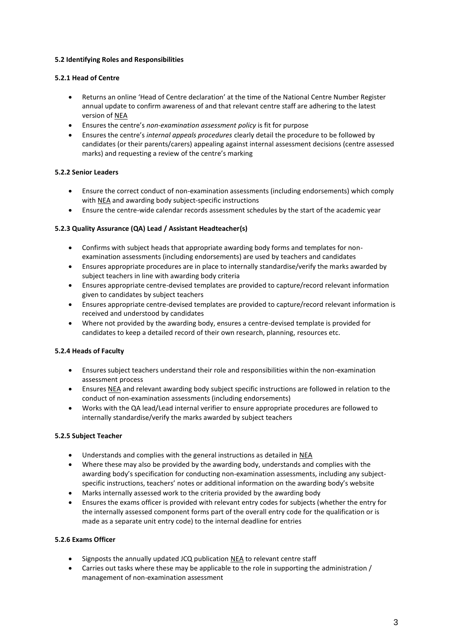# **5.2 Identifying Roles and Responsibilities**

# **5.2.1 Head of Centre**

- Returns an online 'Head of Centre declaration' at the time of the National Centre Number Register annual update to confirm awareness of and that relevant centre staff are adhering to the latest version of NEA
- Ensures the centre's *non-examination assessment policy* is fit for purpose
- Ensures the centre's *internal appeals procedures* clearly detail the procedure to be followed by candidates (or their parents/carers) appealing against internal assessment decisions (centre assessed marks) and requesting a review of the centre's marking

# **5.2.2 Senior Leaders**

- Ensure the correct conduct of non-examination assessments (including endorsements) which comply with [NEA](http://www.jcq.org.uk/exams-office/non-examination-assessments) and awarding body subject-specific instructions
- Ensure the centre-wide calendar records assessment schedules by the start of the academic year

# **5.2.3 Quality Assurance (QA) Lead / Assistant Headteacher(s)**

- Confirms with subject heads that appropriate awarding body forms and templates for nonexamination assessments (including endorsements) are used by teachers and candidates
- Ensures appropriate procedures are in place to internally standardise/verify the marks awarded by subject teachers in line with awarding body criteria
- Ensures appropriate centre-devised templates are provided to capture/record relevant information given to candidates by subject teachers
- Ensures appropriate centre-devised templates are provided to capture/record relevant information is received and understood by candidates
- Where not provided by the awarding body, ensures a centre-devised template is provided for candidates to keep a detailed record of their own research, planning, resources etc.

# **5.2.4 Heads of Faculty**

- Ensures subject teachers understand their role and responsibilities within the non-examination assessment process
- Ensures [NEA](http://www.jcq.org.uk/exams-office/non-examination-assessments) and relevant awarding body subject specific instructions are followed in relation to the conduct of non-examination assessments (including endorsements)
- Works with the QA lead/Lead internal verifier to ensure appropriate procedures are followed to internally standardise/verify the marks awarded by subject teachers

# **5.2.5 Subject Teacher**

- Understands and complies with the general instructions as detailed in [NEA](http://www.jcq.org.uk/exams-office/non-examination-assessments)
- Where these may also be provided by the awarding body, understands and complies with the awarding body's specification for conducting non-examination assessments, including any subjectspecific instructions, teachers' notes or additional information on the awarding body's website
- Marks internally assessed work to the criteria provided by the awarding body
- Ensures the exams officer is provided with relevant entry codes for subjects (whether the entry for the internally assessed component forms part of the overall entry code for the qualification or is made as a separate unit entry code) to the internal deadline for entries

# **5.2.6 Exams Officer**

- Signposts the annually updated JCQ publication [NEA](http://www.jcq.org.uk/exams-office/non-examination-assessments) to relevant centre staff
- Carries out tasks where these may be applicable to the role in supporting the administration / management of non-examination assessment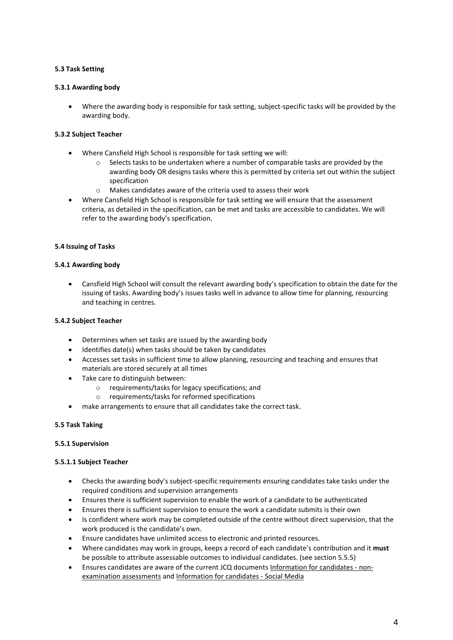# **5.3 Task Setting**

## **5.3.1 Awarding body**

 Where the awarding body is responsible for task setting, subject-specific tasks will be provided by the awarding body.

## **5.3.2 Subject Teacher**

- Where Cansfield High School is responsible for task setting we will:
	- o Selects tasks to be undertaken where a number of comparable tasks are provided by the awarding body OR designs tasks where this is permitted by criteria set out within the subject specification
	- $\circ$  Makes candidates aware of the criteria used to assess their work
- Where Cansfield High School is responsible for task setting we will ensure that the assessment criteria, as detailed in the specification, can be met and tasks are accessible to candidates. We will refer to the awarding body's specification.

## **5.4 Issuing of Tasks**

## **5.4.1 Awarding body**

 Cansfield High School will consult the relevant awarding body's specification to obtain the date for the issuing of tasks. Awarding body's issues tasks well in advance to allow time for planning, resourcing and teaching in centres.

#### **5.4.2 Subject Teacher**

- Determines when set tasks are issued by the awarding body
- Identifies date(s) when tasks should be taken by candidates
- Accesses set tasks in sufficient time to allow planning, resourcing and teaching and ensures that materials are stored securely at all times
- Take care to distinguish between:
	- o requirements/tasks for legacy specifications; and
	- o requirements/tasks for reformed specifications
- make arrangements to ensure that all candidates take the correct task.

#### **5.5 Task Taking**

#### **5.5.1 Supervision**

#### **5.5.1.1 Subject Teacher**

- Checks the awarding body's subject-specific requirements ensuring candidates take tasks under the required conditions and supervision arrangements
- Ensures there is sufficient supervision to enable the work of a candidate to be authenticated
- Ensures there is sufficient supervision to ensure the work a candidate submits is their own
- Is confident where work may be completed outside of the centre without direct supervision, that the work produced is the candidate's own.
- Ensure candidates have unlimited access to electronic and printed resources.
- Where candidates may work in groups, keeps a record of each candidate's contribution and it **must** be possible to attribute assessable outcomes to individual candidates. (see section 5.5.5)
- Ensures candidates are aware of the current JCQ documents [Information for candidates -](http://www.jcq.org.uk/exams-office/information-for-candidates-documents) non[examination assessments](http://www.jcq.org.uk/exams-office/information-for-candidates-documents) an[d Information for candidates -](http://www.jcq.org.uk/exams-office/information-for-candidates-documents) Social Media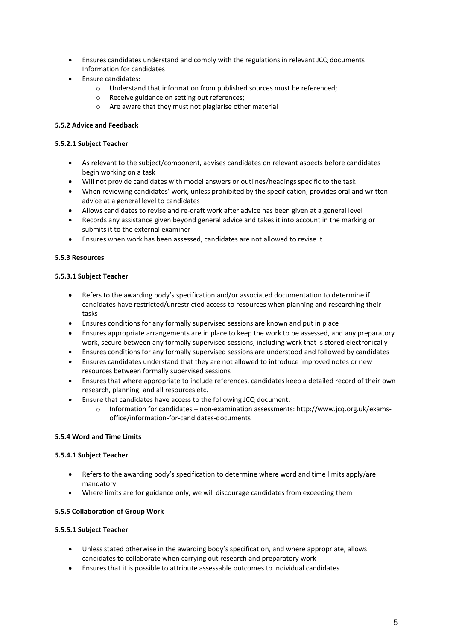- Ensures candidates understand and comply with the regulations in relevant JCQ documents Information for candidates
- Ensure candidates:
	- o Understand that information from published sources must be referenced;
	- o Receive guidance on setting out references;
	- o Are aware that they must not plagiarise other material

# **5.5.2 Advice and Feedback**

## **5.5.2.1 Subject Teacher**

- As relevant to the subject/component, advises candidates on relevant aspects before candidates begin working on a task
- Will not provide candidates with model answers or outlines/headings specific to the task
- When reviewing candidates' work, unless prohibited by the specification, provides oral and written advice at a general level to candidates
- Allows candidates to revise and re-draft work after advice has been given at a general level
- Records any assistance given beyond general advice and takes it into account in the marking or submits it to the external examiner
- Ensures when work has been assessed, candidates are not allowed to revise it

## **5.5.3 Resources**

## **5.5.3.1 Subject Teacher**

- Refers to the awarding body's specification and/or associated documentation to determine if candidates have restricted/unrestricted access to resources when planning and researching their tasks
- Ensures conditions for any formally supervised sessions are known and put in place
- Ensures appropriate arrangements are in place to keep the work to be assessed, and any preparatory work, secure between any formally supervised sessions, including work that is stored electronically
- Ensures conditions for any formally supervised sessions are understood and followed by candidates
- Ensures candidates understand that they are not allowed to introduce improved notes or new resources between formally supervised sessions
- Ensures that where appropriate to include references, candidates keep a detailed record of their own research, planning, and all resources etc.
- Ensure that candidates have access to the following JCQ document:
	- o Information for candidates non-examination assessments: http://www.jcq.org.uk/examsoffice/information-for-candidates-documents

#### **5.5.4 Word and Time Limits**

#### **5.5.4.1 Subject Teacher**

- Refers to the awarding body's specification to determine where word and time limits apply/are mandatory
- Where limits are for guidance only, we will discourage candidates from exceeding them

#### **5.5.5 Collaboration of Group Work**

# **5.5.5.1 Subject Teacher**

- Unless stated otherwise in the awarding body's specification, and where appropriate, allows candidates to collaborate when carrying out research and preparatory work
- Ensures that it is possible to attribute assessable outcomes to individual candidates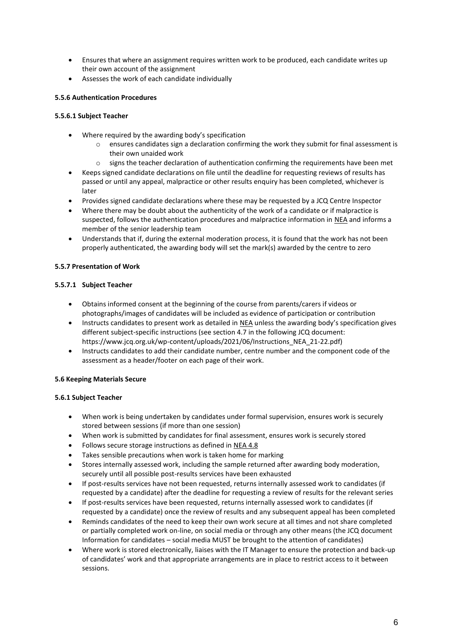- Ensures that where an assignment requires written work to be produced, each candidate writes up their own account of the assignment
- Assesses the work of each candidate individually

# **5.5.6 Authentication Procedures**

## **5.5.6.1 Subject Teacher**

- Where required by the awarding body's specification
	- o ensures candidates sign a declaration confirming the work they submit for final assessment is their own unaided work
	- $\circ$  signs the teacher declaration of authentication confirming the requirements have been met
- Keeps signed candidate declarations on file until the deadline for requesting reviews of results has passed or until any appeal, malpractice or other results enquiry has been completed, whichever is later
- Provides signed candidate declarations where these may be requested by a JCQ Centre Inspector
- Where there may be doubt about the authenticity of the work of a candidate or if malpractice is suspected, follows the authentication procedures and malpractice information in [NEA](http://www.jcq.org.uk/exams-office/non-examination-assessments) and informs a member of the senior leadership team
- Understands that if, during the external moderation process, it is found that the work has not been properly authenticated, the awarding body will set the mark(s) awarded by the centre to zero

## **5.5.7 Presentation of Work**

## **5.5.7.1 Subject Teacher**

- Obtains informed consent at the beginning of the course from parents/carers if videos or photographs/images of candidates will be included as evidence of participation or contribution
- Instructs candidates to present work as detailed in [NEA](http://www.jcq.org.uk/exams-office/non-examination-assessments) unless the awarding body's specification gives different subject-specific instructions (see section 4.7 in the following JCQ document: https://www.jcq.org.uk/wp-content/uploads/2021/06/Instructions\_NEA\_21-22.pdf)
- Instructs candidates to add their candidate number, centre number and the component code of the assessment as a header/footer on each page of their work.

#### **5.6 Keeping Materials Secure**

#### **5.6.1 Subject Teacher**

- When work is being undertaken by candidates under formal supervision, ensures work is securely stored between sessions (if more than one session)
- When work is submitted by candidates for final assessment, ensures work is securely stored
- Follows secure storage instructions as defined in [NEA](http://www.jcq.org.uk/exams-office/non-examination-assessments) 4.8
- Takes sensible precautions when work is taken home for marking
- Stores internally assessed work, including the sample returned after awarding body moderation, securely until all possible post-results services have been exhausted
- If post-results services have not been requested, returns internally assessed work to candidates (if requested by a candidate) after the deadline for requesting a review of results for the relevant series
- If post-results services have been requested, returns internally assessed work to candidates (if requested by a candidate) once the review of results and any subsequent appeal has been completed
- Reminds candidates of the need to keep their own work secure at all times and not share completed or partially completed work on-line, on social media or through any other means (the JCQ document Information for candidates – social media MUST be brought to the attention of candidates)
- Where work is stored electronically, liaises with the IT Manager to ensure the protection and back-up of candidates' work and that appropriate arrangements are in place to restrict access to it between sessions.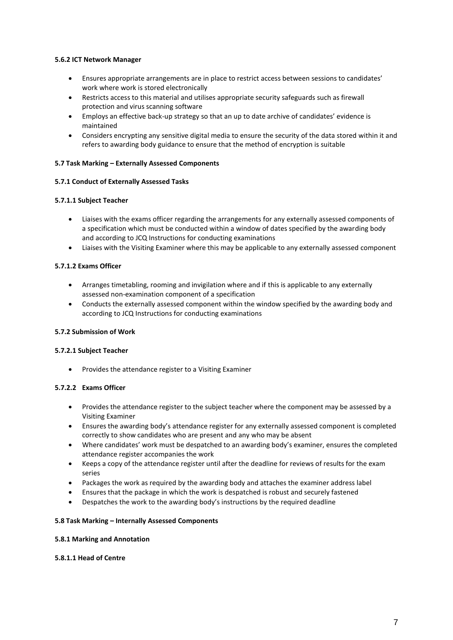## **5.6.2 ICT Network Manager**

- Ensures appropriate arrangements are in place to restrict access between sessions to candidates' work where work is stored electronically
- Restricts access to this material and utilises appropriate security safeguards such as firewall protection and virus scanning software
- Employs an effective back-up strategy so that an up to date archive of candidates' evidence is maintained
- Considers encrypting any sensitive digital media to ensure the security of the data stored within it and refers to awarding body guidance to ensure that the method of encryption is suitable

## **5.7 Task Marking – Externally Assessed Components**

## **5.7.1 Conduct of Externally Assessed Tasks**

## **5.7.1.1 Subject Teacher**

- Liaises with the exams officer regarding the arrangements for any externally assessed components of a specification which must be conducted within a window of dates specified by the awarding body and according to JCQ Instructions for conducting examinations
- Liaises with the Visiting Examiner where this may be applicable to any externally assessed component

## **5.7.1.2 Exams Officer**

- Arranges timetabling, rooming and invigilation where and if this is applicable to any externally assessed non-examination component of a specification
- Conducts the externally assessed component within the window specified by the awarding body and according to JCQ Instructions for conducting examinations

# **5.7.2 Submission of Work**

#### **5.7.2.1 Subject Teacher**

Provides the attendance register to a Visiting Examiner

# **5.7.2.2 Exams Officer**

- Provides the attendance register to the subject teacher where the component may be assessed by a Visiting Examiner
- Ensures the awarding body's attendance register for any externally assessed component is completed correctly to show candidates who are present and any who may be absent
- Where candidates' work must be despatched to an awarding body's examiner, ensures the completed attendance register accompanies the work
- Keeps a copy of the attendance register until after the deadline for reviews of results for the exam series
- Packages the work as required by the awarding body and attaches the examiner address label
- Ensures that the package in which the work is despatched is robust and securely fastened
- Despatches the work to the awarding body's instructions by the required deadline

## **5.8 Task Marking – Internally Assessed Components**

#### **5.8.1 Marking and Annotation**

#### **5.8.1.1 Head of Centre**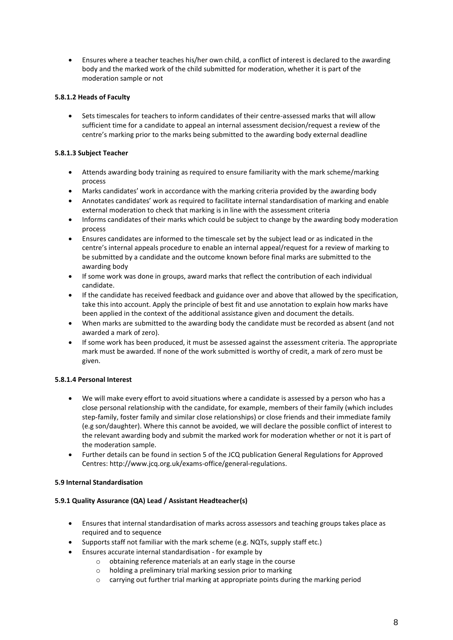Ensures where a teacher teaches his/her own child, a conflict of interest is declared to the awarding body and the marked work of the child submitted for moderation, whether it is part of the moderation sample or not

# **5.8.1.2 Heads of Faculty**

 Sets timescales for teachers to inform candidates of their centre-assessed marks that will allow sufficient time for a candidate to appeal an internal assessment decision/request a review of the centre's marking prior to the marks being submitted to the awarding body external deadline

# **5.8.1.3 Subject Teacher**

- Attends awarding body training as required to ensure familiarity with the mark scheme/marking process
- Marks candidates' work in accordance with the marking criteria provided by the awarding body
- Annotates candidates' work as required to facilitate internal standardisation of marking and enable external moderation to check that marking is in line with the assessment criteria
- Informs candidates of their marks which could be subject to change by the awarding body moderation process
- Ensures candidates are informed to the timescale set by the subject lead or as indicated in the centre's internal appeals procedure to enable an internal appeal/request for a review of marking to be submitted by a candidate and the outcome known before final marks are submitted to the awarding body
- If some work was done in groups, award marks that reflect the contribution of each individual candidate.
- If the candidate has received feedback and guidance over and above that allowed by the specification, take this into account. Apply the principle of best fit and use annotation to explain how marks have been applied in the context of the additional assistance given and document the details.
- When marks are submitted to the awarding body the candidate must be recorded as absent (and not awarded a mark of zero).
- If some work has been produced, it must be assessed against the assessment criteria. The appropriate mark must be awarded. If none of the work submitted is worthy of credit, a mark of zero must be given.

# **5.8.1.4 Personal Interest**

- We will make every effort to avoid situations where a candidate is assessed by a person who has a close personal relationship with the candidate, for example, members of their family (which includes step-family, foster family and similar close relationships) or close friends and their immediate family (e.g son/daughter). Where this cannot be avoided, we will declare the possible conflict of interest to the relevant awarding body and submit the marked work for moderation whether or not it is part of the moderation sample.
- Further details can be found in section 5 of the JCQ publication General Regulations for Approved Centres: http://www.jcq.org.uk/exams-office/general-regulations.

#### **5.9 Internal Standardisation**

#### **5.9.1 Quality Assurance (QA) Lead / Assistant Headteacher(s)**

- Ensures that internal standardisation of marks across assessors and teaching groups takes place as required and to sequence
- Supports staff not familiar with the mark scheme (e.g. NQTs, supply staff etc.)
- Ensures accurate internal standardisation for example by
	- o obtaining reference materials at an early stage in the course
	- o holding a preliminary trial marking session prior to marking
	- o carrying out further trial marking at appropriate points during the marking period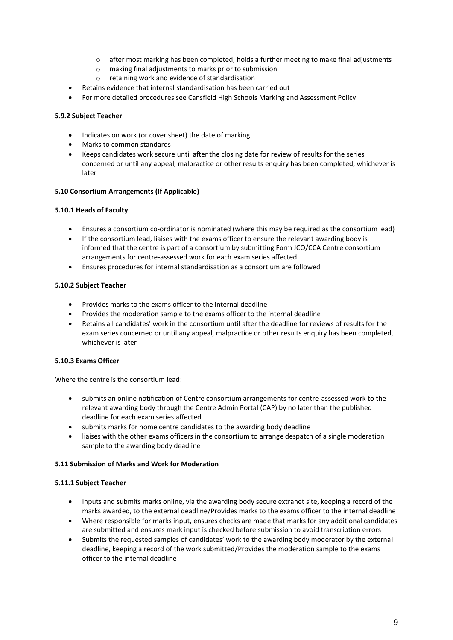- o after most marking has been completed, holds a further meeting to make final adjustments
- o making final adjustments to marks prior to submission
- o retaining work and evidence of standardisation
- Retains evidence that internal standardisation has been carried out
- For more detailed procedures see Cansfield High Schools Marking and Assessment Policy

## **5.9.2 Subject Teacher**

- Indicates on work (or cover sheet) the date of marking
- Marks to common standards
- Keeps candidates work secure until after the closing date for review of results for the series concerned or until any appeal, malpractice or other results enquiry has been completed, whichever is later

## **5.10 Consortium Arrangements (If Applicable)**

## **5.10.1 Heads of Faculty**

- Ensures a consortium co-ordinator is nominated (where this may be required as the consortium lead)
- If the consortium lead, liaises with the exams officer to ensure the relevant awarding body is informed that the centre is part of a consortium by submitting Form JCQ/CCA Centre consortium arrangements for centre-assessed work for each exam series affected
- Ensures procedures for internal standardisation as a consortium are followed

## **5.10.2 Subject Teacher**

- Provides marks to the exams officer to the internal deadline
- Provides the moderation sample to the exams officer to the internal deadline
- Retains all candidates' work in the consortium until after the deadline for reviews of results for the exam series concerned or until any appeal, malpractice or other results enquiry has been completed, whichever is later

#### **5.10.3 Exams Officer**

Where the centre is the consortium lead:

- submits an online notification of Centre consortium arrangements for centre-assessed work to the relevant awarding body through the Centre Admin Portal (CAP) by no later than the published deadline for each exam series affected
- submits marks for home centre candidates to the awarding body deadline
- liaises with the other exams officers in the consortium to arrange despatch of a single moderation sample to the awarding body deadline

#### **5.11 Submission of Marks and Work for Moderation**

#### **5.11.1 Subject Teacher**

- Inputs and submits marks online, via the awarding body secure extranet site, keeping a record of the marks awarded, to the external deadline/Provides marks to the exams officer to the internal deadline
- Where responsible for marks input, ensures checks are made that marks for any additional candidates are submitted and ensures mark input is checked before submission to avoid transcription errors
- Submits the requested samples of candidates' work to the awarding body moderator by the external deadline, keeping a record of the work submitted/Provides the moderation sample to the exams officer to the internal deadline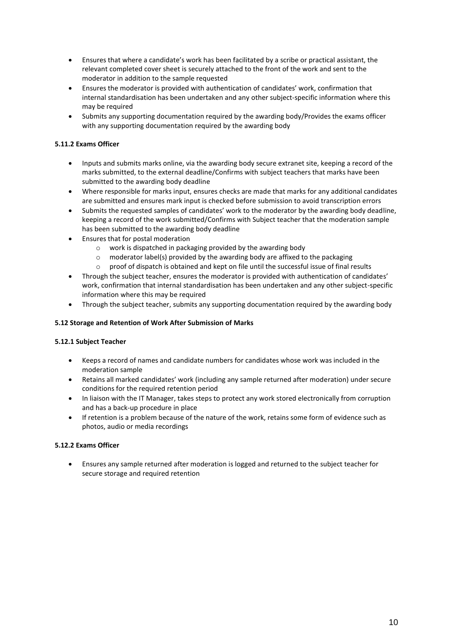- Ensures that where a candidate's work has been facilitated by a scribe or practical assistant, the relevant completed cover sheet is securely attached to the front of the work and sent to the moderator in addition to the sample requested
- Ensures the moderator is provided with authentication of candidates' work, confirmation that internal standardisation has been undertaken and any other subject-specific information where this may be required
- Submits any supporting documentation required by the awarding body/Provides the exams officer with any supporting documentation required by the awarding body

# **5.11.2 Exams Officer**

- Inputs and submits marks online, via the awarding body secure extranet site, keeping a record of the marks submitted, to the external deadline/Confirms with subject teachers that marks have been submitted to the awarding body deadline
- Where responsible for marks input, ensures checks are made that marks for any additional candidates are submitted and ensures mark input is checked before submission to avoid transcription errors
- Submits the requested samples of candidates' work to the moderator by the awarding body deadline, keeping a record of the work submitted/Confirms with Subject teacher that the moderation sample has been submitted to the awarding body deadline
- Ensures that for postal moderation
	- o work is dispatched in packaging provided by the awarding body
	- $\circ$  moderator label(s) provided by the awarding body are affixed to the packaging
	- $\circ$  proof of dispatch is obtained and kept on file until the successful issue of final results
- Through the subject teacher, ensures the moderator is provided with authentication of candidates' work, confirmation that internal standardisation has been undertaken and any other subject-specific information where this may be required
- Through the subject teacher, submits any supporting documentation required by the awarding body

# **5.12 Storage and Retention of Work After Submission of Marks**

#### **5.12.1 Subject Teacher**

- Keeps a record of names and candidate numbers for candidates whose work was included in the moderation sample
- Retains all marked candidates' work (including any sample returned after moderation) under secure conditions for the required retention period
- In liaison with the IT Manager, takes steps to protect any work stored electronically from corruption and has a back-up procedure in place
- If retention is a problem because of the nature of the work, retains some form of evidence such as photos, audio or media recordings

# **5.12.2 Exams Officer**

 Ensures any sample returned after moderation is logged and returned to the subject teacher for secure storage and required retention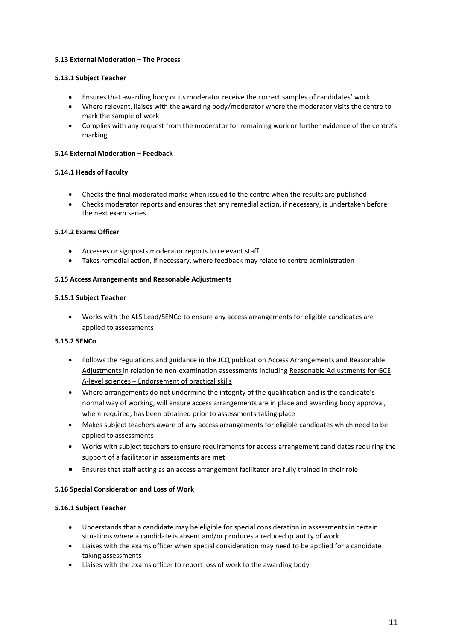# **5.13 External Moderation – The Process**

## **5.13.1 Subject Teacher**

- Ensures that awarding body or its moderator receive the correct samples of candidates' work
- Where relevant, liaises with the awarding body/moderator where the moderator visits the centre to mark the sample of work
- Complies with any request from the moderator for remaining work or further evidence of the centre's marking

#### **5.14 External Moderation – Feedback**

#### **5.14.1 Heads of Faculty**

- Checks the final moderated marks when issued to the centre when the results are published
- Checks moderator reports and ensures that any remedial action, if necessary, is undertaken before the next exam series

## **5.14.2 Exams Officer**

- Accesses or signposts moderator reports to relevant staff
- Takes remedial action, if necessary, where feedback may relate to centre administration

#### **5.15 Access Arrangements and Reasonable Adjustments**

#### **5.15.1 Subject Teacher**

 Works with the ALS Lead/SENCo to ensure any access arrangements for eligible candidates are applied to assessments

# **5.15.2 SENCo**

- Follows the regulations and guidance in the JCQ publication [Access Arrangements and Reasonable](http://www.jcq.org.uk/exams-office/access-arrangements-and-special-consideration)  [Adjustments](http://www.jcq.org.uk/exams-office/access-arrangements-and-special-consideration) in relation to non-examination assessments includin[g Reasonable Adjustments for GCE](https://www.jcq.org.uk/exams-office/access-arrangements-and-special-consideration/regulations-and-guidance)  A-level sciences – [Endorsement of practical skills](https://www.jcq.org.uk/exams-office/access-arrangements-and-special-consideration/regulations-and-guidance)
- Where arrangements do not undermine the integrity of the qualification and is the candidate's normal way of working, will ensure access arrangements are in place and awarding body approval, where required, has been obtained prior to assessments taking place
- Makes subject teachers aware of any access arrangements for eligible candidates which need to be applied to assessments
- Works with subject teachers to ensure requirements for access arrangement candidates requiring the support of a facilitator in assessments are met
- Ensures that staff acting as an access arrangement facilitator are fully trained in their role

#### **5.16 Special Consideration and Loss of Work**

#### **5.16.1 Subject Teacher**

- Understands that a candidate may be eligible for special consideration in assessments in certain situations where a candidate is absent and/or produces a reduced quantity of work
- Liaises with the exams officer when special consideration may need to be applied for a candidate taking assessments
- Liaises with the exams officer to report loss of work to the awarding body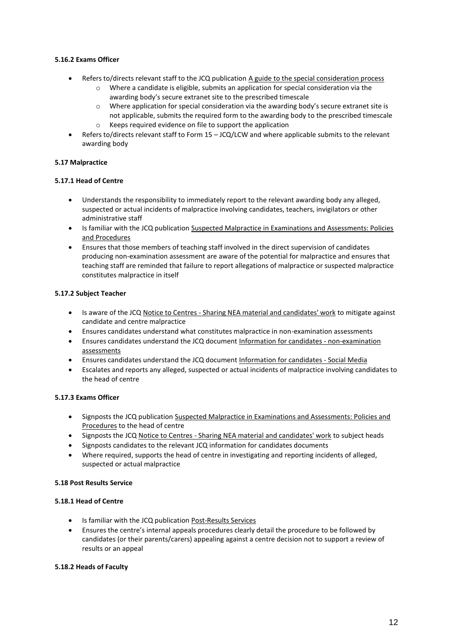# **5.16.2 Exams Officer**

- Refers to/directs relevant staff to the JCQ publication A guide to the special consideration process
	- o Where a candidate is eligible, submits an application for special consideration via the awarding body's secure extranet site to the prescribed timescale
	- $\circ$  Where application for special consideration via the awarding body's secure extranet site is not applicable, submits the required form to the awarding body to the prescribed timescale
	- o Keeps required evidence on file to support the application
- Refers to/directs relevant staff to Form 15 JCQ/LCW and where applicable submits to the relevant awarding body

# **5.17 Malpractice**

## **5.17.1 Head of Centre**

- Understands the responsibility to immediately report to the relevant awarding body any alleged, suspected or actual incidents of malpractice involving candidates, teachers, invigilators or other administrative staff
- Is familiar with the JCQ publication Suspected Malpractice in Examinations and Assessments: Policies and Procedures
- Ensures that those members of teaching staff involved in the direct supervision of candidates producing non-examination assessment are aware of the potential for malpractice and ensures that teaching staff are reminded that failure to report allegations of malpractice or suspected malpractice constitutes malpractice in itself

# **5.17.2 Subject Teacher**

- Is aware of the JCQ Notice to Centres Sharing NEA material and candidates' work to mitigate against candidate and centre malpractice
- Ensures candidates understand what constitutes malpractice in non-examination assessments
- Ensures candidates understand the JCQ document Information for candidates non-examination assessments
- Ensures candidates understand the JCQ document Information for candidates Social Media
- Escalates and reports any alleged, suspected or actual incidents of malpractice involving candidates to the head of centre

# **5.17.3 Exams Officer**

- Signposts the JCQ publication Suspected Malpractice in Examinations and Assessments: Policies and Procedures to the head of centre
- Signposts the JCQ Notice to Centres Sharing NEA material and candidates' work to subject heads
- Signposts candidates to the relevant JCQ information for candidates documents
- Where required, supports the head of centre in investigating and reporting incidents of alleged, suspected or actual malpractice

#### **5.18 Post Results Service**

#### **5.18.1 Head of Centre**

- Is familiar with the JCQ publication Post-Results Services
- Ensures the centre's internal appeals procedures clearly detail the procedure to be followed by candidates (or their parents/carers) appealing against a centre decision not to support a review of results or an appeal

#### **5.18.2 Heads of Faculty**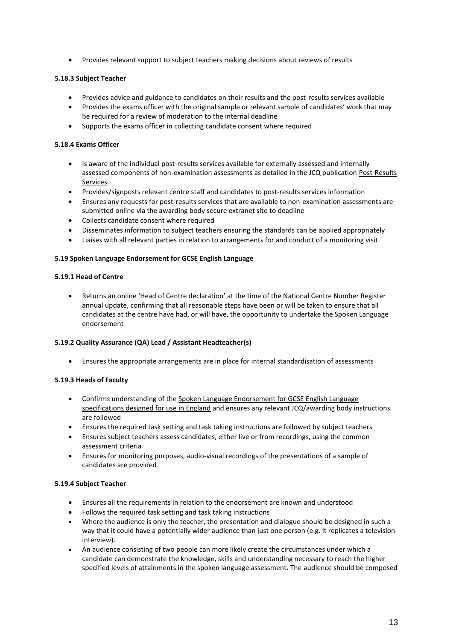Provides relevant support to subject teachers making decisions about reviews of results

# **5.18.3 Subject Teacher**

- Provides advice and guidance to candidates on their results and the post-results services available
- Provides the exams officer with the original sample or relevant sample of candidates' work that may be required for a review of moderation to the internal deadline
- Supports the exams officer in collecting candidate consent where required

## **5.18.4 Exams Officer**

- Is aware of the individual post-results services available for externally assessed and internally assessed components of non-examination assessments as detailed in the JCQ publication Post-Results Services
- Provides/signposts relevant centre staff and candidates to post-results services information
- Ensures any requests for post-results services that are available to non-examination assessments are submitted online via the awarding body secure extranet site to deadline
- Collects candidate consent where required
- Disseminates information to subject teachers ensuring the standards can be applied appropriately
- Liaises with all relevant parties in relation to arrangements for and conduct of a monitoring visit

#### **5.19 Spoken Language Endorsement for GCSE English Language**

#### **5.19.1 Head of Centre**

 Returns an online 'Head of Centre declaration' at the time of the National Centre Number Register annual update, confirming that all reasonable steps have been or will be taken to ensure that all candidates at the centre have had, or will have, the opportunity to undertake the Spoken Language endorsement

#### **5.19.2 Quality Assurance (QA) Lead / Assistant Headteacher(s)**

Ensures the appropriate arrangements are in place for internal standardisation of assessments

# **5.19.3 Heads of Faculty**

- Confirms understanding of the Spoken Language Endorsement for GCSE English Language specifications designed for use in England and ensures any relevant JCQ/awarding body instructions are followed
- Ensures the required task setting and task taking instructions are followed by subject teachers
- Ensures subject teachers assess candidates, either live or from recordings, using the common assessment criteria
- Ensures for monitoring purposes, audio-visual recordings of the presentations of a sample of candidates are provided

#### **5.19.4 Subject Teacher**

- Ensures all the requirements in relation to the endorsement are known and understood
- Follows the required task setting and task taking instructions
- Where the audience is only the teacher, the presentation and dialogue should be designed in such a way that it could have a potentially wider audience than just one person (e.g. it replicates a television interview).
- An audience consisting of two people can more likely create the circumstances under which a candidate can demonstrate the knowledge, skills and understanding necessary to reach the higher specified levels of attainments in the spoken language assessment. The audience should be composed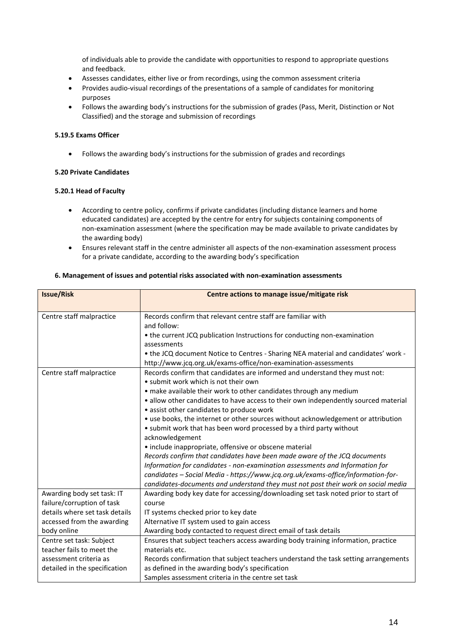of individuals able to provide the candidate with opportunities to respond to appropriate questions and feedback.

- Assesses candidates, either live or from recordings, using the common assessment criteria
- Provides audio-visual recordings of the presentations of a sample of candidates for monitoring purposes
- Follows the awarding body's instructions for the submission of grades (Pass, Merit, Distinction or Not Classified) and the storage and submission of recordings

## **5.19.5 Exams Officer**

Follows the awarding body's instructions for the submission of grades and recordings

## **5.20 Private Candidates**

#### **5.20.1 Head of Faculty**

- According to centre policy, confirms if private candidates (including distance learners and home educated candidates) are accepted by the centre for entry for subjects containing components of non-examination assessment (where the specification may be made available to private candidates by the awarding body)
- Ensures relevant staff in the centre administer all aspects of the non-examination assessment process for a private candidate, according to the awarding body's specification

#### **6. Management of issues and potential risks associated with non-examination assessments**

| <b>Issue/Risk</b>              | Centre actions to manage issue/mitigate risk                                        |
|--------------------------------|-------------------------------------------------------------------------------------|
|                                |                                                                                     |
| Centre staff malpractice       | Records confirm that relevant centre staff are familiar with                        |
|                                | and follow:                                                                         |
|                                | • the current JCQ publication Instructions for conducting non-examination           |
|                                | assessments                                                                         |
|                                | . the JCQ document Notice to Centres - Sharing NEA material and candidates' work -  |
|                                | http://www.jcq.org.uk/exams-office/non-examination-assessments                      |
| Centre staff malpractice       | Records confirm that candidates are informed and understand they must not:          |
|                                | • submit work which is not their own                                                |
|                                | • make available their work to other candidates through any medium                  |
|                                | • allow other candidates to have access to their own independently sourced material |
|                                | • assist other candidates to produce work                                           |
|                                | • use books, the internet or other sources without acknowledgement or attribution   |
|                                | • submit work that has been word processed by a third party without                 |
|                                | acknowledgement                                                                     |
|                                | • include inappropriate, offensive or obscene material                              |
|                                | Records confirm that candidates have been made aware of the JCQ documents           |
|                                | Information for candidates - non-examination assessments and Information for        |
|                                | candidates - Social Media - https://www.jcq.org.uk/exams-office/information-for-    |
|                                | candidates-documents and understand they must not post their work on social media   |
| Awarding body set task: IT     | Awarding body key date for accessing/downloading set task noted prior to start of   |
| failure/corruption of task     | course                                                                              |
| details where set task details | IT systems checked prior to key date                                                |
| accessed from the awarding     | Alternative IT system used to gain access                                           |
| body online                    | Awarding body contacted to request direct email of task details                     |
| Centre set task: Subject       | Ensures that subject teachers access awarding body training information, practice   |
| teacher fails to meet the      | materials etc.                                                                      |
| assessment criteria as         | Records confirmation that subject teachers understand the task setting arrangements |
| detailed in the specification  | as defined in the awarding body's specification                                     |
|                                | Samples assessment criteria in the centre set task                                  |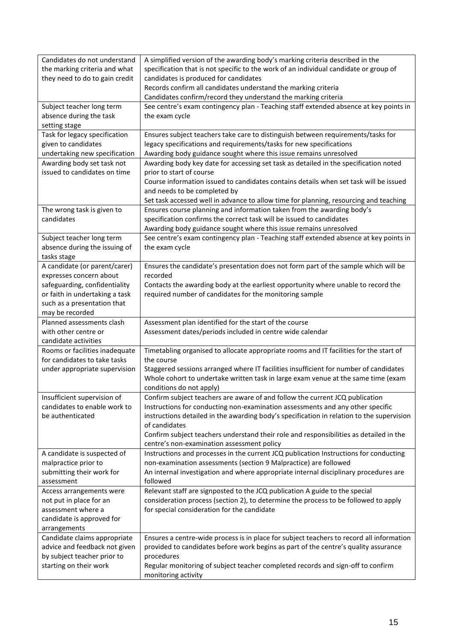| Candidates do not understand<br>the marking criteria and what<br>they need to do to gain credit                                                            | A simplified version of the awarding body's marking criteria described in the<br>specification that is not specific to the work of an individual candidate or group of<br>candidates is produced for candidates<br>Records confirm all candidates understand the marking criteria<br>Candidates confirm/record they understand the marking criteria                                                                  |
|------------------------------------------------------------------------------------------------------------------------------------------------------------|----------------------------------------------------------------------------------------------------------------------------------------------------------------------------------------------------------------------------------------------------------------------------------------------------------------------------------------------------------------------------------------------------------------------|
| Subject teacher long term<br>absence during the task<br>setting stage                                                                                      | See centre's exam contingency plan - Teaching staff extended absence at key points in<br>the exam cycle                                                                                                                                                                                                                                                                                                              |
| Task for legacy specification<br>given to candidates<br>undertaking new specification<br>Awarding body set task not<br>issued to candidates on time        | Ensures subject teachers take care to distinguish between requirements/tasks for<br>legacy specifications and requirements/tasks for new specifications<br>Awarding body guidance sought where this issue remains unresolved<br>Awarding body key date for accessing set task as detailed in the specification noted<br>prior to start of course                                                                     |
|                                                                                                                                                            | Course information issued to candidates contains details when set task will be issued<br>and needs to be completed by<br>Set task accessed well in advance to allow time for planning, resourcing and teaching                                                                                                                                                                                                       |
| The wrong task is given to<br>candidates                                                                                                                   | Ensures course planning and information taken from the awarding body's<br>specification confirms the correct task will be issued to candidates<br>Awarding body guidance sought where this issue remains unresolved                                                                                                                                                                                                  |
| Subject teacher long term<br>absence during the issuing of<br>tasks stage                                                                                  | See centre's exam contingency plan - Teaching staff extended absence at key points in<br>the exam cycle                                                                                                                                                                                                                                                                                                              |
| A candidate (or parent/carer)<br>expresses concern about<br>safeguarding, confidentiality<br>or faith in undertaking a task<br>such as a presentation that | Ensures the candidate's presentation does not form part of the sample which will be<br>recorded<br>Contacts the awarding body at the earliest opportunity where unable to record the<br>required number of candidates for the monitoring sample                                                                                                                                                                      |
| may be recorded<br>Planned assessments clash<br>with other centre or                                                                                       | Assessment plan identified for the start of the course<br>Assessment dates/periods included in centre wide calendar                                                                                                                                                                                                                                                                                                  |
| candidate activities<br>Rooms or facilities inadequate<br>for candidates to take tasks                                                                     | Timetabling organised to allocate appropriate rooms and IT facilities for the start of<br>the course                                                                                                                                                                                                                                                                                                                 |
| under appropriate supervision                                                                                                                              | Staggered sessions arranged where IT facilities insufficient for number of candidates<br>Whole cohort to undertake written task in large exam venue at the same time (exam<br>conditions do not apply)                                                                                                                                                                                                               |
| Insufficient supervision of<br>candidates to enable work to<br>be authenticated                                                                            | Confirm subject teachers are aware of and follow the current JCQ publication<br>Instructions for conducting non-examination assessments and any other specific<br>instructions detailed in the awarding body's specification in relation to the supervision<br>of candidates<br>Confirm subject teachers understand their role and responsibilities as detailed in the<br>centre's non-examination assessment policy |
| A candidate is suspected of<br>malpractice prior to<br>submitting their work for<br>assessment                                                             | Instructions and processes in the current JCQ publication Instructions for conducting<br>non-examination assessments (section 9 Malpractice) are followed<br>An internal investigation and where appropriate internal disciplinary procedures are<br>followed                                                                                                                                                        |
| Access arrangements were<br>not put in place for an<br>assessment where a<br>candidate is approved for<br>arrangements                                     | Relevant staff are signposted to the JCQ publication A guide to the special<br>consideration process (section 2), to determine the process to be followed to apply<br>for special consideration for the candidate                                                                                                                                                                                                    |
| Candidate claims appropriate<br>advice and feedback not given<br>by subject teacher prior to<br>starting on their work                                     | Ensures a centre-wide process is in place for subject teachers to record all information<br>provided to candidates before work begins as part of the centre's quality assurance<br>procedures<br>Regular monitoring of subject teacher completed records and sign-off to confirm<br>monitoring activity                                                                                                              |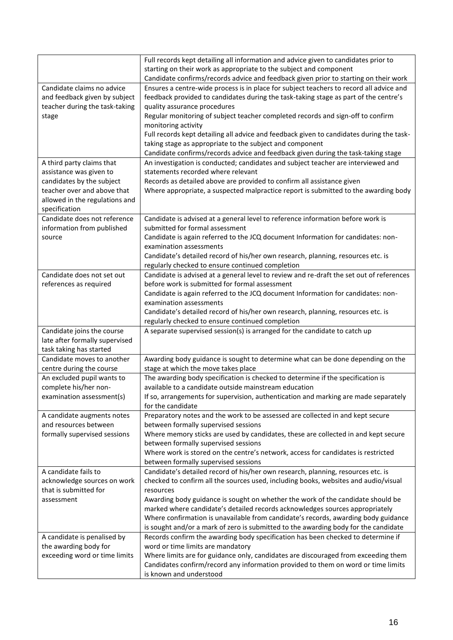|                                | Full records kept detailing all information and advice given to candidates prior to                                                                        |
|--------------------------------|------------------------------------------------------------------------------------------------------------------------------------------------------------|
|                                | starting on their work as appropriate to the subject and component<br>Candidate confirms/records advice and feedback given prior to starting on their work |
| Candidate claims no advice     | Ensures a centre-wide process is in place for subject teachers to record all advice and                                                                    |
| and feedback given by subject  | feedback provided to candidates during the task-taking stage as part of the centre's                                                                       |
| teacher during the task-taking | quality assurance procedures                                                                                                                               |
| stage                          | Regular monitoring of subject teacher completed records and sign-off to confirm                                                                            |
|                                | monitoring activity                                                                                                                                        |
|                                | Full records kept detailing all advice and feedback given to candidates during the task-                                                                   |
|                                | taking stage as appropriate to the subject and component                                                                                                   |
|                                | Candidate confirms/records advice and feedback given during the task-taking stage                                                                          |
| A third party claims that      | An investigation is conducted; candidates and subject teacher are interviewed and                                                                          |
| assistance was given to        | statements recorded where relevant                                                                                                                         |
| candidates by the subject      | Records as detailed above are provided to confirm all assistance given                                                                                     |
| teacher over and above that    | Where appropriate, a suspected malpractice report is submitted to the awarding body                                                                        |
| allowed in the regulations and |                                                                                                                                                            |
| specification                  |                                                                                                                                                            |
| Candidate does not reference   | Candidate is advised at a general level to reference information before work is                                                                            |
| information from published     | submitted for formal assessment                                                                                                                            |
| source                         | Candidate is again referred to the JCQ document Information for candidates: non-                                                                           |
|                                | examination assessments                                                                                                                                    |
|                                | Candidate's detailed record of his/her own research, planning, resources etc. is                                                                           |
|                                | regularly checked to ensure continued completion                                                                                                           |
| Candidate does not set out     | Candidate is advised at a general level to review and re-draft the set out of references                                                                   |
| references as required         | before work is submitted for formal assessment                                                                                                             |
|                                | Candidate is again referred to the JCQ document Information for candidates: non-                                                                           |
|                                | examination assessments                                                                                                                                    |
|                                | Candidate's detailed record of his/her own research, planning, resources etc. is                                                                           |
|                                | regularly checked to ensure continued completion                                                                                                           |
| Candidate joins the course     | A separate supervised session(s) is arranged for the candidate to catch up                                                                                 |
| late after formally supervised |                                                                                                                                                            |
| task taking has started        |                                                                                                                                                            |
| Candidate moves to another     | Awarding body guidance is sought to determine what can be done depending on the                                                                            |
| centre during the course       | stage at which the move takes place                                                                                                                        |
| An excluded pupil wants to     | The awarding body specification is checked to determine if the specification is                                                                            |
| complete his/her non-          | available to a candidate outside mainstream education                                                                                                      |
| examination assessment(s)      | If so, arrangements for supervision, authentication and marking are made separately                                                                        |
|                                | for the candidate                                                                                                                                          |
| A candidate augments notes     | Preparatory notes and the work to be assessed are collected in and kept secure                                                                             |
| and resources between          | between formally supervised sessions                                                                                                                       |
| formally supervised sessions   | Where memory sticks are used by candidates, these are collected in and kept secure                                                                         |
|                                | between formally supervised sessions                                                                                                                       |
|                                | Where work is stored on the centre's network, access for candidates is restricted                                                                          |
|                                | between formally supervised sessions                                                                                                                       |
| A candidate fails to           | Candidate's detailed record of his/her own research, planning, resources etc. is                                                                           |
| acknowledge sources on work    | checked to confirm all the sources used, including books, websites and audio/visual                                                                        |
| that is submitted for          | resources                                                                                                                                                  |
| assessment                     | Awarding body guidance is sought on whether the work of the candidate should be                                                                            |
|                                | marked where candidate's detailed records acknowledges sources appropriately                                                                               |
|                                | Where confirmation is unavailable from candidate's records, awarding body guidance                                                                         |
|                                | is sought and/or a mark of zero is submitted to the awarding body for the candidate                                                                        |
| A candidate is penalised by    | Records confirm the awarding body specification has been checked to determine if                                                                           |
| the awarding body for          | word or time limits are mandatory                                                                                                                          |
| exceeding word or time limits  | Where limits are for guidance only, candidates are discouraged from exceeding them                                                                         |
|                                | Candidates confirm/record any information provided to them on word or time limits                                                                          |
|                                | is known and understood                                                                                                                                    |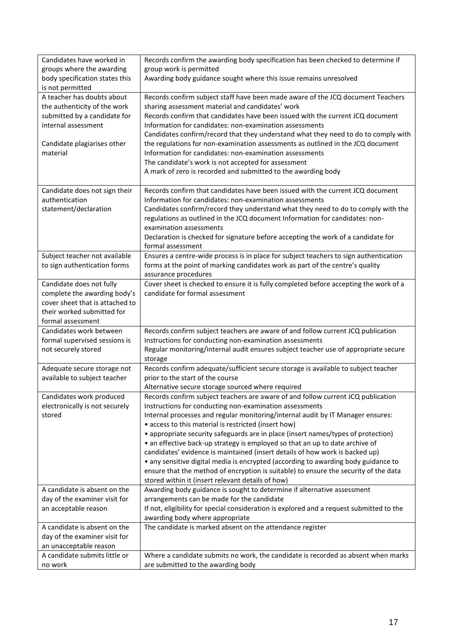| Candidates have worked in<br>groups where the awarding | Records confirm the awarding body specification has been checked to determine if<br>group work is permitted                               |
|--------------------------------------------------------|-------------------------------------------------------------------------------------------------------------------------------------------|
| body specification states this                         | Awarding body guidance sought where this issue remains unresolved                                                                         |
| is not permitted                                       |                                                                                                                                           |
| A teacher has doubts about                             | Records confirm subject staff have been made aware of the JCQ document Teachers                                                           |
| the authenticity of the work                           | sharing assessment material and candidates' work                                                                                          |
| submitted by a candidate for                           | Records confirm that candidates have been issued with the current JCQ document                                                            |
| internal assessment                                    | Information for candidates: non-examination assessments                                                                                   |
|                                                        | Candidates confirm/record that they understand what they need to do to comply with                                                        |
| Candidate plagiarises other                            | the regulations for non-examination assessments as outlined in the JCQ document                                                           |
| material                                               | Information for candidates: non-examination assessments                                                                                   |
|                                                        | The candidate's work is not accepted for assessment                                                                                       |
|                                                        | A mark of zero is recorded and submitted to the awarding body                                                                             |
| Candidate does not sign their                          | Records confirm that candidates have been issued with the current JCQ document                                                            |
| authentication                                         | Information for candidates: non-examination assessments                                                                                   |
| statement/declaration                                  | Candidates confirm/record they understand what they need to do to comply with the                                                         |
|                                                        | regulations as outlined in the JCQ document Information for candidates: non-                                                              |
|                                                        | examination assessments                                                                                                                   |
|                                                        | Declaration is checked for signature before accepting the work of a candidate for                                                         |
|                                                        | formal assessment                                                                                                                         |
| Subject teacher not available                          | Ensures a centre-wide process is in place for subject teachers to sign authentication                                                     |
| to sign authentication forms                           | forms at the point of marking candidates work as part of the centre's quality                                                             |
|                                                        | assurance procedures                                                                                                                      |
| Candidate does not fully                               | Cover sheet is checked to ensure it is fully completed before accepting the work of a                                                     |
| complete the awarding body's                           | candidate for formal assessment                                                                                                           |
| cover sheet that is attached to                        |                                                                                                                                           |
| their worked submitted for<br>formal assessment        |                                                                                                                                           |
| Candidates work between                                | Records confirm subject teachers are aware of and follow current JCQ publication                                                          |
| formal supervised sessions is                          | Instructions for conducting non-examination assessments                                                                                   |
| not securely stored                                    | Regular monitoring/internal audit ensures subject teacher use of appropriate secure                                                       |
|                                                        | storage                                                                                                                                   |
| Adequate secure storage not                            | Records confirm adequate/sufficient secure storage is available to subject teacher                                                        |
| available to subject teacher                           | prior to the start of the course                                                                                                          |
|                                                        | Alternative secure storage sourced where required                                                                                         |
| Candidates work produced                               | Records confirm subject teachers are aware of and follow current JCQ publication                                                          |
| electronically is not securely                         | Instructions for conducting non-examination assessments                                                                                   |
| stored                                                 | Internal processes and regular monitoring/internal audit by IT Manager ensures:                                                           |
|                                                        | • access to this material is restricted (insert how)<br>• appropriate security safeguards are in place (insert names/types of protection) |
|                                                        | • an effective back-up strategy is employed so that an up to date archive of                                                              |
|                                                        | candidates' evidence is maintained (insert details of how work is backed up)                                                              |
|                                                        | • any sensitive digital media is encrypted (according to awarding body guidance to                                                        |
|                                                        | ensure that the method of encryption is suitable) to ensure the security of the data                                                      |
|                                                        | stored within it (insert relevant details of how)                                                                                         |
| A candidate is absent on the                           | Awarding body guidance is sought to determine if alternative assessment                                                                   |
| day of the examiner visit for                          | arrangements can be made for the candidate                                                                                                |
| an acceptable reason                                   | If not, eligibility for special consideration is explored and a request submitted to the                                                  |
|                                                        | awarding body where appropriate                                                                                                           |
| A candidate is absent on the                           | The candidate is marked absent on the attendance register                                                                                 |
| day of the examiner visit for                          |                                                                                                                                           |
| an unacceptable reason                                 |                                                                                                                                           |
| A candidate submits little or                          | Where a candidate submits no work, the candidate is recorded as absent when marks                                                         |
| no work                                                | are submitted to the awarding body                                                                                                        |